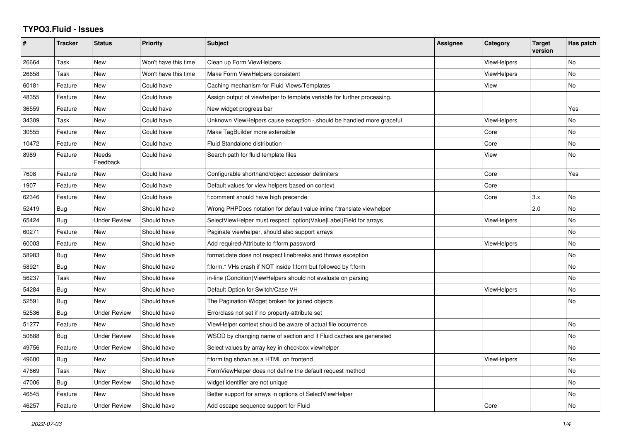## **TYPO3.Fluid - Issues**

| #     | <b>Tracker</b> | <b>Status</b>       | <b>Priority</b>      | <b>Subject</b>                                                           | Assignee | Category           | <b>Target</b><br>version | Has patch |
|-------|----------------|---------------------|----------------------|--------------------------------------------------------------------------|----------|--------------------|--------------------------|-----------|
| 26664 | Task           | New                 | Won't have this time | Clean up Form ViewHelpers                                                |          | <b>ViewHelpers</b> |                          | No        |
| 26658 | Task           | New                 | Won't have this time | Make Form ViewHelpers consistent                                         |          | ViewHelpers        |                          | No.       |
| 60181 | Feature        | New                 | Could have           | Caching mechanism for Fluid Views/Templates                              |          | View               |                          | <b>No</b> |
| 48355 | Feature        | New                 | Could have           | Assign output of viewhelper to template variable for further processing. |          |                    |                          |           |
| 36559 | Feature        | <b>New</b>          | Could have           | New widget progress bar                                                  |          |                    |                          | Yes       |
| 34309 | Task           | New                 | Could have           | Unknown ViewHelpers cause exception - should be handled more graceful    |          | ViewHelpers        |                          | No        |
| 30555 | Feature        | New                 | Could have           | Make TagBuilder more extensible                                          |          | Core               |                          | No        |
| 10472 | Feature        | New                 | Could have           | <b>Fluid Standalone distribution</b>                                     |          | Core               |                          | No        |
| 8989  | Feature        | Needs<br>Feedback   | Could have           | Search path for fluid template files                                     |          | View               |                          | <b>No</b> |
| 7608  | Feature        | New                 | Could have           | Configurable shorthand/object accessor delimiters                        |          | Core               |                          | Yes       |
| 1907  | Feature        | <b>New</b>          | Could have           | Default values for view helpers based on context                         |          | Core               |                          |           |
| 62346 | Feature        | <b>New</b>          | Could have           | f:comment should have high precende                                      |          | Core               | 3.x                      | <b>No</b> |
| 52419 | <b>Bug</b>     | New                 | Should have          | Wrong PHPDocs notation for default value inline f:translate viewhelper   |          |                    | 2.0                      | <b>No</b> |
| 65424 | Bug            | <b>Under Review</b> | Should have          | SelectViewHelper must respect option(Value Label)Field for arrays        |          | <b>ViewHelpers</b> |                          | No        |
| 60271 | Feature        | <b>New</b>          | Should have          | Paginate viewhelper, should also support arrays                          |          |                    |                          | <b>No</b> |
| 60003 | Feature        | New                 | Should have          | Add required-Attribute to f:form.password                                |          | ViewHelpers        |                          | No        |
| 58983 | Bug            | New                 | Should have          | format.date does not respect linebreaks and throws exception             |          |                    |                          | <b>No</b> |
| 58921 | <b>Bug</b>     | <b>New</b>          | Should have          | f:form.* VHs crash if NOT inside f:form but followed by f:form           |          |                    |                          | <b>No</b> |
| 56237 | Task           | New                 | Should have          | in-line (Condition) View Helpers should not evaluate on parsing          |          |                    |                          | <b>No</b> |
| 54284 | Bug            | New                 | Should have          | Default Option for Switch/Case VH                                        |          | <b>ViewHelpers</b> |                          | No        |
| 52591 | Bug            | <b>New</b>          | Should have          | The Pagination Widget broken for joined objects                          |          |                    |                          | No        |
| 52536 | <b>Bug</b>     | <b>Under Review</b> | Should have          | Errorclass not set if no property-attribute set                          |          |                    |                          |           |
| 51277 | Feature        | New                 | Should have          | ViewHelper context should be aware of actual file occurrence             |          |                    |                          | No        |
| 50888 | <b>Bug</b>     | <b>Under Review</b> | Should have          | WSOD by changing name of section and if Fluid caches are generated       |          |                    |                          | <b>No</b> |
| 49756 | Feature        | <b>Under Review</b> | Should have          | Select values by array key in checkbox viewhelper                        |          |                    |                          | <b>No</b> |
| 49600 | <b>Bug</b>     | New                 | Should have          | f:form tag shown as a HTML on frontend                                   |          | <b>ViewHelpers</b> |                          | No        |
| 47669 | Task           | New                 | Should have          | FormViewHelper does not define the default request method                |          |                    |                          | No        |
| 47006 | <b>Bug</b>     | <b>Under Review</b> | Should have          | widget identifier are not unique                                         |          |                    |                          | <b>No</b> |
| 46545 | Feature        | New                 | Should have          | Better support for arrays in options of SelectViewHelper                 |          |                    |                          | No        |
| 46257 | Feature        | <b>Under Review</b> | Should have          | Add escape sequence support for Fluid                                    |          | Core               |                          | No        |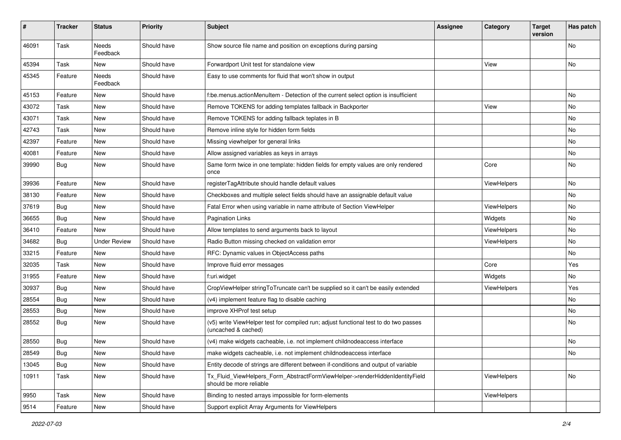| #     | <b>Tracker</b> | <b>Status</b>            | <b>Priority</b> | <b>Subject</b>                                                                                              | Assignee | Category           | <b>Target</b><br>version | Has patch |
|-------|----------------|--------------------------|-----------------|-------------------------------------------------------------------------------------------------------------|----------|--------------------|--------------------------|-----------|
| 46091 | Task           | <b>Needs</b><br>Feedback | Should have     | Show source file name and position on exceptions during parsing                                             |          |                    |                          | <b>No</b> |
| 45394 | Task           | New                      | Should have     | Forwardport Unit test for standalone view                                                                   |          | View               |                          | <b>No</b> |
| 45345 | Feature        | Needs<br>Feedback        | Should have     | Easy to use comments for fluid that won't show in output                                                    |          |                    |                          |           |
| 45153 | Feature        | New                      | Should have     | f:be.menus.actionMenuItem - Detection of the current select option is insufficient                          |          |                    |                          | No        |
| 43072 | Task           | New                      | Should have     | Remove TOKENS for adding templates fallback in Backporter                                                   |          | View               |                          | No        |
| 43071 | Task           | New                      | Should have     | Remove TOKENS for adding fallback teplates in B                                                             |          |                    |                          | No        |
| 42743 | Task           | New                      | Should have     | Remove inline style for hidden form fields                                                                  |          |                    |                          | No        |
| 42397 | Feature        | New                      | Should have     | Missing viewhelper for general links                                                                        |          |                    |                          | No        |
| 40081 | Feature        | New                      | Should have     | Allow assigned variables as keys in arrays                                                                  |          |                    |                          | <b>No</b> |
| 39990 | <b>Bug</b>     | New                      | Should have     | Same form twice in one template: hidden fields for empty values are only rendered<br>once                   |          | Core               |                          | No        |
| 39936 | Feature        | New                      | Should have     | registerTagAttribute should handle default values                                                           |          | ViewHelpers        |                          | No        |
| 38130 | Feature        | New                      | Should have     | Checkboxes and multiple select fields should have an assignable default value                               |          |                    |                          | No        |
| 37619 | <b>Bug</b>     | New                      | Should have     | Fatal Error when using variable in name attribute of Section ViewHelper                                     |          | ViewHelpers        |                          | No        |
| 36655 | <b>Bug</b>     | New                      | Should have     | <b>Pagination Links</b>                                                                                     |          | Widgets            |                          | No        |
| 36410 | Feature        | New                      | Should have     | Allow templates to send arguments back to layout                                                            |          | ViewHelpers        |                          | No        |
| 34682 | <b>Bug</b>     | <b>Under Review</b>      | Should have     | Radio Button missing checked on validation error                                                            |          | <b>ViewHelpers</b> |                          | <b>No</b> |
| 33215 | Feature        | New                      | Should have     | RFC: Dynamic values in ObjectAccess paths                                                                   |          |                    |                          | No        |
| 32035 | Task           | New                      | Should have     | Improve fluid error messages                                                                                |          | Core               |                          | Yes       |
| 31955 | Feature        | New                      | Should have     | f:uri.widget                                                                                                |          | Widgets            |                          | <b>No</b> |
| 30937 | <b>Bug</b>     | New                      | Should have     | CropViewHelper stringToTruncate can't be supplied so it can't be easily extended                            |          | ViewHelpers        |                          | Yes       |
| 28554 | <b>Bug</b>     | New                      | Should have     | (v4) implement feature flag to disable caching                                                              |          |                    |                          | <b>No</b> |
| 28553 | <b>Bug</b>     | New                      | Should have     | improve XHProf test setup                                                                                   |          |                    |                          | No        |
| 28552 | Bug            | New                      | Should have     | (v5) write ViewHelper test for compiled run; adjust functional test to do two passes<br>(uncached & cached) |          |                    |                          | <b>No</b> |
| 28550 | <b>Bug</b>     | New                      | Should have     | (v4) make widgets cacheable, i.e. not implement childnodeaccess interface                                   |          |                    |                          | No        |
| 28549 | Bug            | New                      | Should have     | make widgets cacheable, i.e. not implement childnodeaccess interface                                        |          |                    |                          | No        |
| 13045 | Bug            | New                      | Should have     | Entity decode of strings are different between if-conditions and output of variable                         |          |                    |                          |           |
| 10911 | Task           | New                      | Should have     | Tx_Fluid_ViewHelpers_Form_AbstractFormViewHelper->renderHiddenIdentityField<br>should be more reliable      |          | ViewHelpers        |                          | No        |
| 9950  | Task           | New                      | Should have     | Binding to nested arrays impossible for form-elements                                                       |          | ViewHelpers        |                          |           |
| 9514  | Feature        | New                      | Should have     | Support explicit Array Arguments for ViewHelpers                                                            |          |                    |                          |           |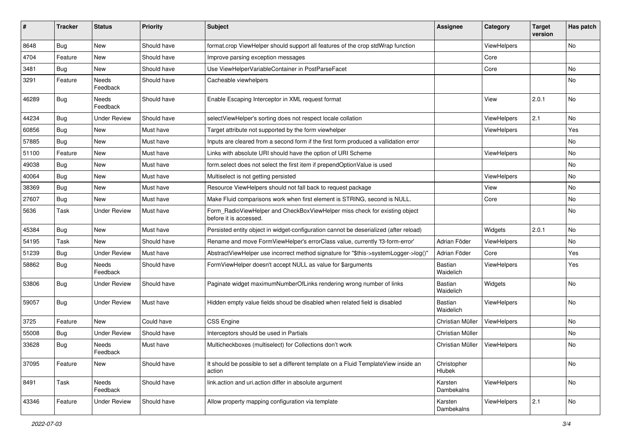| ∦     | <b>Tracker</b> | <b>Status</b>            | <b>Priority</b> | <b>Subject</b>                                                                                       | <b>Assignee</b>             | Category           | <b>Target</b><br>version | Has patch     |
|-------|----------------|--------------------------|-----------------|------------------------------------------------------------------------------------------------------|-----------------------------|--------------------|--------------------------|---------------|
| 8648  | Bug            | New                      | Should have     | format.crop ViewHelper should support all features of the crop stdWrap function                      |                             | ViewHelpers        |                          | No            |
| 4704  | Feature        | New                      | Should have     | Improve parsing exception messages                                                                   |                             | Core               |                          |               |
| 3481  | <b>Bug</b>     | New                      | Should have     | Use ViewHelperVariableContainer in PostParseFacet                                                    |                             | Core               |                          | No            |
| 3291  | Feature        | <b>Needs</b><br>Feedback | Should have     | Cacheable viewhelpers                                                                                |                             |                    |                          | No            |
| 46289 | <b>Bug</b>     | Needs<br>Feedback        | Should have     | Enable Escaping Interceptor in XML request format                                                    |                             | View               | 2.0.1                    | No            |
| 44234 | Bug            | <b>Under Review</b>      | Should have     | selectViewHelper's sorting does not respect locale collation                                         |                             | ViewHelpers        | 2.1                      | No            |
| 60856 | Bug            | <b>New</b>               | Must have       | Target attribute not supported by the form viewhelper                                                |                             | ViewHelpers        |                          | Yes           |
| 57885 | Bug            | New                      | Must have       | Inputs are cleared from a second form if the first form produced a vallidation error                 |                             |                    |                          | No            |
| 51100 | Feature        | New                      | Must have       | Links with absolute URI should have the option of URI Scheme                                         |                             | ViewHelpers        |                          | No            |
| 49038 | Bug            | New                      | Must have       | form.select does not select the first item if prependOptionValue is used                             |                             |                    |                          | No            |
| 40064 | Bug            | New                      | Must have       | Multiselect is not getting persisted                                                                 |                             | <b>ViewHelpers</b> |                          | No            |
| 38369 | Bug            | New                      | Must have       | Resource ViewHelpers should not fall back to request package                                         |                             | View               |                          | No.           |
| 27607 | <b>Bug</b>     | New                      | Must have       | Make Fluid comparisons work when first element is STRING, second is NULL.                            |                             | Core               |                          | No            |
| 5636  | Task           | <b>Under Review</b>      | Must have       | Form RadioViewHelper and CheckBoxViewHelper miss check for existing object<br>before it is accessed. |                             |                    |                          | No            |
| 45384 | Bug            | New                      | Must have       | Persisted entity object in widget-configuration cannot be deserialized (after reload)                |                             | Widgets            | 2.0.1                    | No.           |
| 54195 | Task           | New                      | Should have     | Rename and move FormViewHelper's errorClass value, currently 'f3-form-error'                         | Adrian Föder                | ViewHelpers        |                          | No            |
| 51239 | Bug            | <b>Under Review</b>      | Must have       | AbstractViewHelper use incorrect method signature for "\$this->systemLogger->log()"                  | Adrian Föder                | Core               |                          | Yes           |
| 58862 | <b>Bug</b>     | Needs<br>Feedback        | Should have     | FormViewHelper doesn't accept NULL as value for \$arguments                                          | Bastian<br>Waidelich        | ViewHelpers        |                          | Yes           |
| 53806 | Bug            | Under Review             | Should have     | Paginate widget maximumNumberOfLinks rendering wrong number of links                                 | <b>Bastian</b><br>Waidelich | Widgets            |                          | No            |
| 59057 | Bug            | <b>Under Review</b>      | Must have       | Hidden empty value fields shoud be disabled when related field is disabled                           | Bastian<br>Waidelich        | ViewHelpers        |                          | No            |
| 3725  | Feature        | <b>New</b>               | Could have      | <b>CSS Engine</b>                                                                                    | Christian Müller            | ViewHelpers        |                          | No.           |
| 55008 | Bug            | <b>Under Review</b>      | Should have     | Interceptors should be used in Partials                                                              | Christian Müller            |                    |                          | No            |
| 33628 | <b>Bug</b>     | Needs<br>Feedback        | Must have       | Multicheckboxes (multiselect) for Collections don't work                                             | Christian Müller            | ViewHelpers        |                          | No            |
| 37095 | Feature        | New                      | Should have     | It should be possible to set a different template on a Fluid TemplateView inside an<br>action        | Christopher<br>Hlubek       |                    |                          | No            |
| 8491  | Task           | Needs<br>Feedback        | Should have     | link.action and uri.action differ in absolute argument                                               | Karsten<br>Dambekalns       | ViewHelpers        |                          | No            |
| 43346 | Feature        | <b>Under Review</b>      | Should have     | Allow property mapping configuration via template                                                    | Karsten<br>Dambekalns       | ViewHelpers        | 2.1                      | $\mathsf{No}$ |